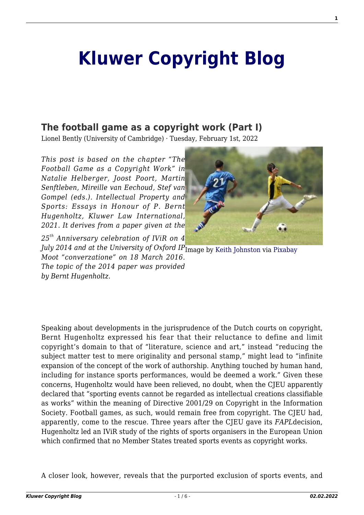# **[Kluwer Copyright Blog](http://copyrightblog.kluweriplaw.com/)**

# **[The football game as a copyright work \(Part I\)](http://copyrightblog.kluweriplaw.com/2022/02/01/the-football-game-as-a-copyright-work-part-i/)**

Lionel Bently (University of Cambridge) · Tuesday, February 1st, 2022

*This post is based on the chapter "The Football Game as a Copyright Work" in Natalie Helberger, Joost Poort, Martin Senftleben, Mireille van Eechoud, Stef van Gompel (eds.). Intellectual Property and Sports: Essays in Honour of P. Bernt Hugenholtz, Kluwer Law International, 2021. It derives from a paper given at the*

*25th Anniversary celebration of IViR on 4*



July 2014 and at the University of Oxford IP<sub>Image by [Keith Johnston](https://pixabay.com/es/users/keithjj-2328014/?utm_source=link-attribution&utm_medium=referral&utm_campaign=image&utm_content=1457988) via [Pixabay](https://pixabay.com/es/?utm_source=link-attribution&utm_medium=referral&utm_campaign=image&utm_content=1457988)</sub> *Moot "converzatione" on 18 March 2016. The topic of the 2014 paper was provided by Bernt Hugenholtz.*

Speaking about developments in the jurisprudence of the Dutch courts on copyright, Bernt Hugenholtz expressed his fear that their reluctance to define and limit copyright's domain to that of "literature, science and art," instead "reducing the subject matter test to mere originality and personal stamp," might lead to "infinite expansion of the concept of the work of authorship. Anything touched by human hand, including for instance sports performances, would be deemed a work." Given these concerns, Hugenholtz would have been relieved, no doubt, when the CJEU apparently declared that "sporting events cannot be regarded as intellectual creations classifiable as works" within the meaning of Directive 2001/29 on Copyright in the Information Society. Football games, as such, would remain free from copyright. The CJEU had, apparently, come to the rescue. Three years after the CJEU gave its *FAPL*decision, Hugenholtz led an IViR study of the rights of sports organisers in the European Union which confirmed that no Member States treated sports events as copyright works.

A closer look, however, reveals that the purported exclusion of sports events, and

**1**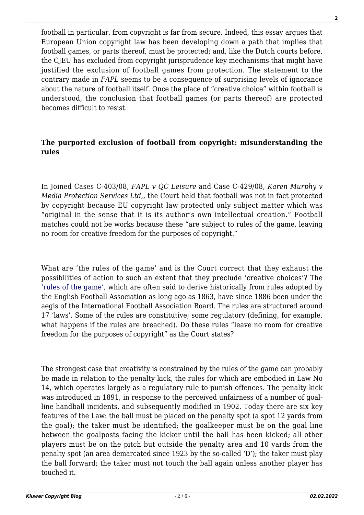football in particular, from copyright is far from secure. Indeed, this essay argues that European Union copyright law has been developing down a path that implies that football games, or parts thereof, must be protected; and, like the Dutch courts before, the CJEU has excluded from copyright jurisprudence key mechanisms that might have justified the exclusion of football games from protection. The statement to the contrary made in *FAPL* seems to be a consequence of surprising levels of ignorance about the nature of football itself. Once the place of "creative choice" within football is understood, the conclusion that football games (or parts thereof) are protected becomes difficult to resist.

#### **The purported exclusion of football from copyright: misunderstanding the rules**

In Joined Cases C-403/08, *FAPL v QC Leisure* and Case C-429/08, *Karen Murphy v Media Protection Services Ltd*,, the Court held that football was not in fact protected by copyright because EU copyright law protected only subject matter which was "original in the sense that it is its author's own intellectual creation." Football matches could not be works because these "are subject to rules of the game, leaving no room for creative freedom for the purposes of copyright."

What are 'the rules of the game' and is the Court correct that they exhaust the possibilities of action to such an extent that they preclude 'creative choices'? The ['rules of the game',](https://static-3eb8.kxcdn.com/files/document-category/062020/fXHLhQuMmtekmfe.pdf) which are often said to derive historically from rules adopted by the English Football Association as long ago as 1863, have since 1886 been under the aegis of the International Football Association Board. The rules are structured around 17 'laws'. Some of the rules are constitutive; some regulatory (defining, for example, what happens if the rules are breached). Do these rules "leave no room for creative freedom for the purposes of copyright" as the Court states?

The strongest case that creativity is constrained by the rules of the game can probably be made in relation to the penalty kick, the rules for which are embodied in Law No 14, which operates largely as a regulatory rule to punish offences. The penalty kick was introduced in 1891, in response to the perceived unfairness of a number of goalline handball incidents, and subsequently modified in 1902. Today there are six key features of the Law: the ball must be placed on the penalty spot (a spot 12 yards from the goal); the taker must be identified; the goalkeeper must be on the goal line between the goalposts facing the kicker until the ball has been kicked; all other players must be on the pitch but outside the penalty area and 10 yards from the penalty spot (an area demarcated since 1923 by the so-called 'D'); the taker must play the ball forward; the taker must not touch the ball again unless another player has touched it.

**2**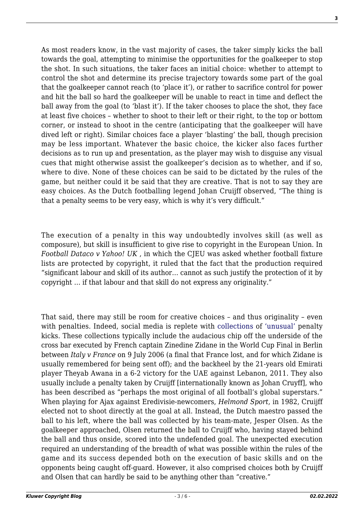**3**

As most readers know, in the vast majority of cases, the taker simply kicks the ball towards the goal, attempting to minimise the opportunities for the goalkeeper to stop the shot. In such situations, the taker faces an initial choice: whether to attempt to control the shot and determine its precise trajectory towards some part of the goal that the goalkeeper cannot reach (to 'place it'), or rather to sacrifice control for power and hit the ball so hard the goalkeeper will be unable to react in time and deflect the ball away from the goal (to 'blast it'). If the taker chooses to place the shot, they face at least five choices – whether to shoot to their left or their right, to the top or bottom corner, or instead to shoot in the centre (anticipating that the goalkeeper will have dived left or right). Similar choices face a player 'blasting' the ball, though precision may be less important. Whatever the basic choice, the kicker also faces further decisions as to run up and presentation, as the player may wish to disguise any visual cues that might otherwise assist the goalkeeper's decision as to whether, and if so, where to dive. None of these choices can be said to be dictated by the rules of the game, but neither could it be said that they are creative. That is not to say they are easy choices. As the Dutch footballing legend Johan Cruijff observed, "The thing is that a penalty seems to be very easy, which is why it's very difficult."

The execution of a penalty in this way undoubtedly involves skill (as well as composure), but skill is insufficient to give rise to copyright in the European Union. In *Football Dataco v Yahoo! UK* , in which the CJEU was asked whether football fixture lists are protected by copyright, it ruled that the fact that the production required "significant labour and skill of its author… cannot as such justify the protection of it by copyright … if that labour and that skill do not express any originality."

That said, there may still be room for creative choices – and thus originality – even with penalties. Indeed, social media is replete with [collections](https://www.youtube.com/watch?v=rse3iZxrphk) of ['unusual'](https://www.youtube.com/watch?v=F5n1h7ul9Mg) penalty kicks. These collections typically include the audacious chip off the underside of the cross bar executed by French captain Zinedine Zidane in the World Cup Final in Berlin between *Italy v France* on 9 July 2006 (a final that France lost, and for which Zidane is usually remembered for being sent off); and the backheel by the 21-years old Emirati player Theyab Awana in a 6-2 victory for the UAE against Lebanon, 2011. They also usually include a penalty taken by Cruijff [internationally known as Johan Cruyff], who has been described as "perhaps the most original of all football's global superstars." When playing for Ajax against Eredivisie-newcomers, *Helmond Sport,* in 1982, Cruijff elected not to shoot directly at the goal at all. Instead, the Dutch maestro passed the ball to his left, where the ball was collected by his team-mate, Jesper Olsen. As the goalkeeper approached, Olsen returned the ball to Cruijff who, having stayed behind the ball and thus onside, scored into the undefended goal. The unexpected execution required an understanding of the breadth of what was possible within the rules of the game and its success depended both on the execution of basic skills and on the opponents being caught off-guard. However, it also comprised choices both by Cruijff and Olsen that can hardly be said to be anything other than "creative."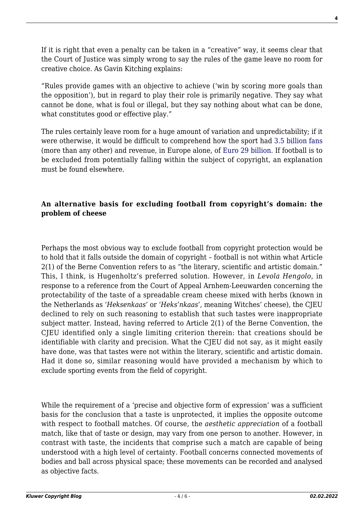If it is right that even a penalty can be taken in a "creative" way, it seems clear that the Court of Justice was simply wrong to say the rules of the game leave no room for creative choice. As Gavin Kitching explains:

"Rules provide games with an objective to achieve ('win by scoring more goals than the opposition'), but in regard to play their role is primarily negative. They say what cannot be done, what is foul or illegal, but they say nothing about what can be done, what constitutes good or effective play."

The rules certainly leave room for a huge amount of variation and unpredictability; if it were otherwise, it would be difficult to comprehend how the sport had [3.5 billion fans](https://worldpopulationreview.com/country-rankings/most-popular-sport-by-country) (more than any other) and revenue, in Europe alone, of [Euro 29 billion](https://www2.deloitte.com/uk/en/pages/sports-business-group/articles/annual-review-of-football-finance.html). If football is to be excluded from potentially falling within the subject of copyright, an explanation must be found elsewhere.

## **An alternative basis for excluding football from copyright's domain: the problem of cheese**

Perhaps the most obvious way to exclude football from copyright protection would be to hold that it falls outside the domain of copyright – football is not within what Article 2(1) of the Berne Convention refers to as "the literary, scientific and artistic domain." This, I think, is Hugenholtz's preferred solution. However, in *Levola Hengolo*, in response to a reference from the Court of Appeal Arnhem-Leeuwarden concerning the protectability of the taste of a spreadable cream cheese mixed with herbs (known in the Netherlands as '*Heksenkaas*' or '*Heks'nkaas*', meaning Witches' cheese), the CJEU declined to rely on such reasoning to establish that such tastes were inappropriate subject matter. Instead, having referred to Article 2(1) of the Berne Convention, the CJEU identified only a single limiting criterion therein: that creations should be identifiable with clarity and precision. What the CJEU did not say, as it might easily have done, was that tastes were not within the literary, scientific and artistic domain. Had it done so, similar reasoning would have provided a mechanism by which to exclude sporting events from the field of copyright.

While the requirement of a 'precise and objective form of expression' was a sufficient basis for the conclusion that a taste is unprotected, it implies the opposite outcome with respect to football matches. Of course, the *aesthetic appreciation* of a football match, like that of taste or design, may vary from one person to another. However, in contrast with taste, the incidents that comprise such a match are capable of being understood with a high level of certainty. Football concerns connected movements of bodies and ball across physical space; these movements can be recorded and analysed as objective facts.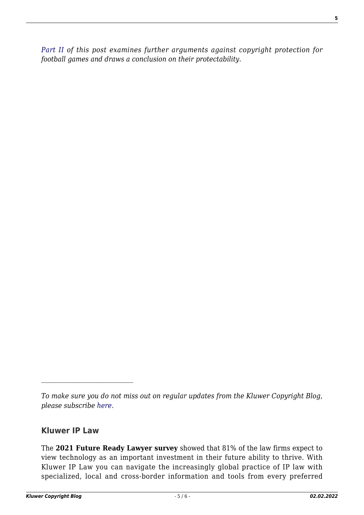*[Part II](http://copyrightblog.kluweriplaw.com/2022/02/02/the-football-game-as-a-copyright-work-part-ii/) of this post examines further arguments against copyright protection for football games and draws a conclusion on their protectability.*

## **Kluwer IP Law**

The **2021 Future Ready Lawyer survey** showed that 81% of the law firms expect to view technology as an important investment in their future ability to thrive. With Kluwer IP Law you can navigate the increasingly global practice of IP law with specialized, local and cross-border information and tools from every preferred

*To make sure you do not miss out on regular updates from the Kluwer Copyright Blog, please subscribe [here.](http://copyrightblog.kluweriplaw.com/newsletter)*